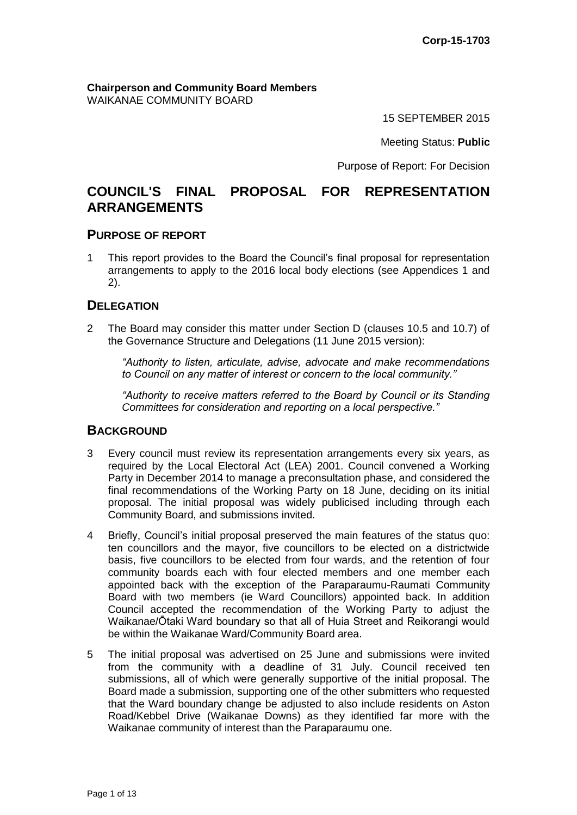**Chairperson and Community Board Members** WAIKANAE COMMUNITY BOARD

15 SEPTEMBER 2015

Meeting Status: **Public**

Purpose of Report: For Decision

# **COUNCIL'S FINAL PROPOSAL FOR REPRESENTATION ARRANGEMENTS**

#### **PURPOSE OF REPORT**

1 This report provides to the Board the Council's final proposal for representation arrangements to apply to the 2016 local body elections (see Appendices 1 and 2).

## **DELEGATION**

2 The Board may consider this matter under Section D (clauses 10.5 and 10.7) of the Governance Structure and Delegations (11 June 2015 version):

*"Authority to listen, articulate, advise, advocate and make recommendations to Council on any matter of interest or concern to the local community."*

*"Authority to receive matters referred to the Board by Council or its Standing Committees for consideration and reporting on a local perspective."*

## **BACKGROUND**

- 3 Every council must review its representation arrangements every six years, as required by the Local Electoral Act (LEA) 2001. Council convened a Working Party in December 2014 to manage a preconsultation phase, and considered the final recommendations of the Working Party on 18 June, deciding on its initial proposal. The initial proposal was widely publicised including through each Community Board, and submissions invited.
- 4 Briefly, Council's initial proposal preserved the main features of the status quo: ten councillors and the mayor, five councillors to be elected on a districtwide basis, five councillors to be elected from four wards, and the retention of four community boards each with four elected members and one member each appointed back with the exception of the Paraparaumu-Raumati Community Board with two members (ie Ward Councillors) appointed back. In addition Council accepted the recommendation of the Working Party to adjust the Waikanae/Ōtaki Ward boundary so that all of Huia Street and Reikorangi would be within the Waikanae Ward/Community Board area.
- 5 The initial proposal was advertised on 25 June and submissions were invited from the community with a deadline of 31 July. Council received ten submissions, all of which were generally supportive of the initial proposal. The Board made a submission, supporting one of the other submitters who requested that the Ward boundary change be adjusted to also include residents on Aston Road/Kebbel Drive (Waikanae Downs) as they identified far more with the Waikanae community of interest than the Paraparaumu one.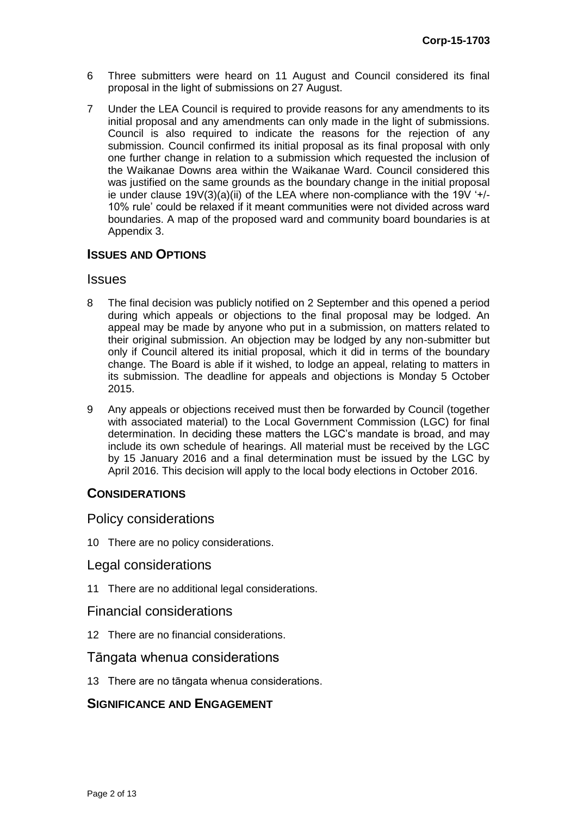- 6 Three submitters were heard on 11 August and Council considered its final proposal in the light of submissions on 27 August.
- 7 Under the LEA Council is required to provide reasons for any amendments to its initial proposal and any amendments can only made in the light of submissions. Council is also required to indicate the reasons for the rejection of any submission. Council confirmed its initial proposal as its final proposal with only one further change in relation to a submission which requested the inclusion of the Waikanae Downs area within the Waikanae Ward. Council considered this was justified on the same grounds as the boundary change in the initial proposal ie under clause  $19V(3)(a)(ii)$  of the LEA where non-compliance with the 19V '+/-10% rule' could be relaxed if it meant communities were not divided across ward boundaries. A map of the proposed ward and community board boundaries is at Appendix 3.

## **ISSUES AND OPTIONS**

#### Issues

- 8 The final decision was publicly notified on 2 September and this opened a period during which appeals or objections to the final proposal may be lodged. An appeal may be made by anyone who put in a submission, on matters related to their original submission. An objection may be lodged by any non-submitter but only if Council altered its initial proposal, which it did in terms of the boundary change. The Board is able if it wished, to lodge an appeal, relating to matters in its submission. The deadline for appeals and objections is Monday 5 October 2015.
- 9 Any appeals or objections received must then be forwarded by Council (together with associated material) to the Local Government Commission (LGC) for final determination. In deciding these matters the LGC's mandate is broad, and may include its own schedule of hearings. All material must be received by the LGC by 15 January 2016 and a final determination must be issued by the LGC by April 2016. This decision will apply to the local body elections in October 2016.

## **CONSIDERATIONS**

### Policy considerations

10 There are no policy considerations.

## Legal considerations

11 There are no additional legal considerations.

### Financial considerations

12 There are no financial considerations.

## Tāngata whenua considerations

13 There are no tāngata whenua considerations.

## **SIGNIFICANCE AND ENGAGEMENT**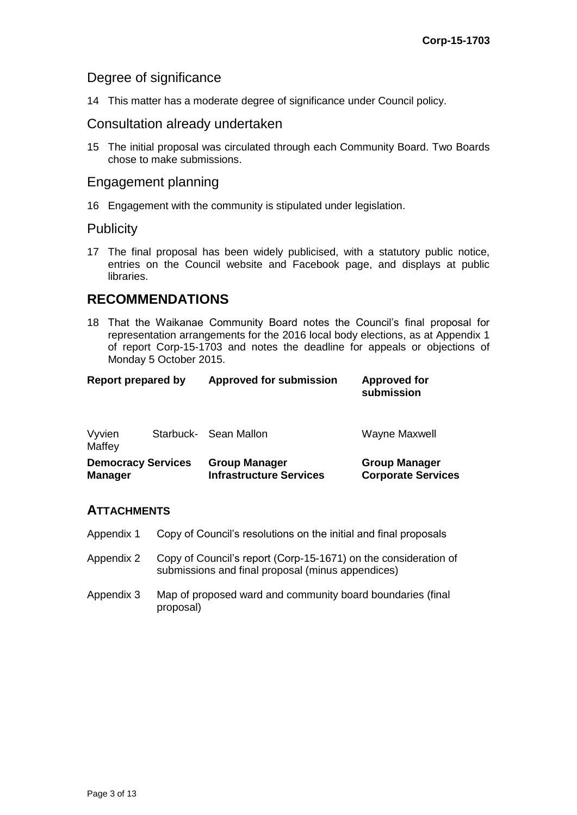**Corporate Services**

## Degree of significance

14 This matter has a moderate degree of significance under Council policy.

## Consultation already undertaken

15 The initial proposal was circulated through each Community Board. Two Boards chose to make submissions.

## Engagement planning

16 Engagement with the community is stipulated under legislation.

## **Publicity**

17 The final proposal has been widely publicised, with a statutory public notice, entries on the Council website and Facebook page, and displays at public libraries.

# **RECOMMENDATIONS**

18 That the Waikanae Community Board notes the Council's final proposal for representation arrangements for the 2016 local body elections, as at Appendix 1 of report Corp-15-1703 and notes the deadline for appeals or objections of Monday 5 October 2015.

| <b>Report prepared by</b> |  | <b>Approved for submission</b> | <b>Approved for</b><br>submission |
|---------------------------|--|--------------------------------|-----------------------------------|
| Vyvien<br>Maffey          |  | Starbuck- Sean Mallon          | Wayne Maxwell                     |
| <b>Democracy Services</b> |  | <b>Group Manager</b>           | <b>Group Manager</b>              |

**Infrastructure Services**

## **ATTACHMENTS**

**Manager**

- Appendix 1 Copy of Council's resolutions on the initial and final proposals
- Appendix 2 Copy of Council's report (Corp-15-1671) on the consideration of submissions and final proposal (minus appendices)
- Appendix 3 Map of proposed ward and community board boundaries (final proposal)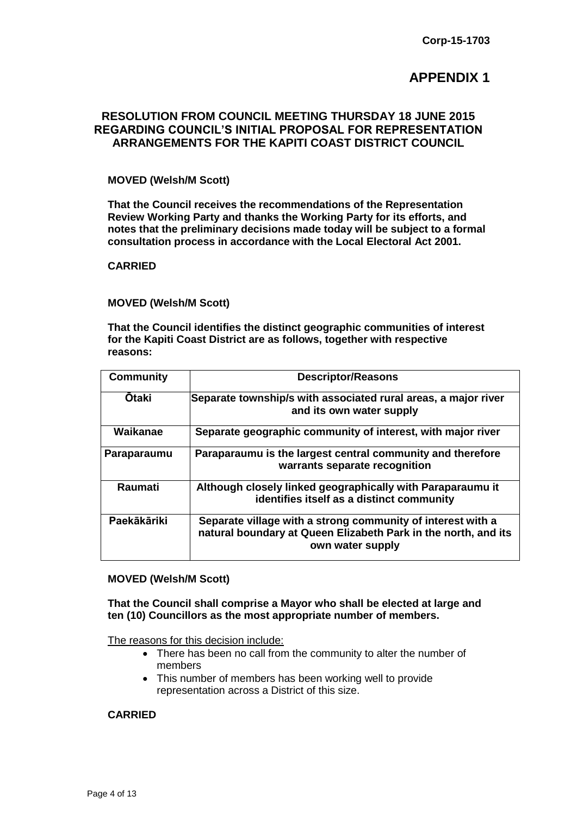## **APPENDIX 1**

### **RESOLUTION FROM COUNCIL MEETING THURSDAY 18 JUNE 2015 REGARDING COUNCIL'S INITIAL PROPOSAL FOR REPRESENTATION ARRANGEMENTS FOR THE KAPITI COAST DISTRICT COUNCIL**

#### **MOVED (Welsh/M Scott)**

**That the Council receives the recommendations of the Representation Review Working Party and thanks the Working Party for its efforts, and notes that the preliminary decisions made today will be subject to a formal consultation process in accordance with the Local Electoral Act 2001.**

#### **CARRIED**

#### **MOVED (Welsh/M Scott)**

**That the Council identifies the distinct geographic communities of interest for the Kapiti Coast District are as follows, together with respective reasons:**

| <b>Community</b> | <b>Descriptor/Reasons</b>                                                                                                                         |
|------------------|---------------------------------------------------------------------------------------------------------------------------------------------------|
| <b>Otaki</b>     | Separate township/s with associated rural areas, a major river<br>and its own water supply                                                        |
| Waikanae         | Separate geographic community of interest, with major river                                                                                       |
| Paraparaumu      | Paraparaumu is the largest central community and therefore<br>warrants separate recognition                                                       |
| <b>Raumati</b>   | Although closely linked geographically with Paraparaumu it<br>identifies itself as a distinct community                                           |
| Paekākāriki      | Separate village with a strong community of interest with a<br>natural boundary at Queen Elizabeth Park in the north, and its<br>own water supply |

#### **MOVED (Welsh/M Scott)**

**That the Council shall comprise a Mayor who shall be elected at large and ten (10) Councillors as the most appropriate number of members.** 

The reasons for this decision include:

- There has been no call from the community to alter the number of members
- This number of members has been working well to provide representation across a District of this size.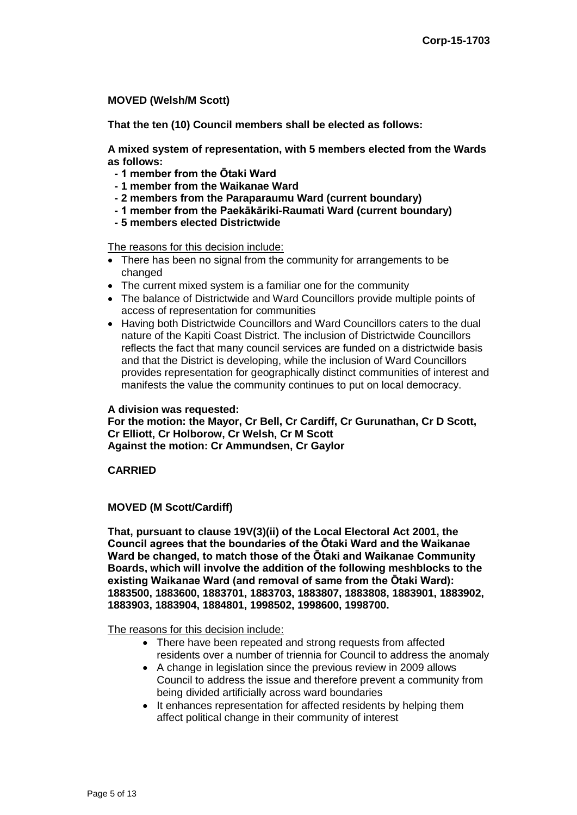**MOVED (Welsh/M Scott)**

**That the ten (10) Council members shall be elected as follows:**

**A mixed system of representation, with 5 members elected from the Wards as follows:**

- **- 1 member from the Ōtaki Ward**
- **- 1 member from the Waikanae Ward**
- **- 2 members from the Paraparaumu Ward (current boundary)**
- **- 1 member from the Paekākāriki-Raumati Ward (current boundary)**
- **- 5 members elected Districtwide**

The reasons for this decision include:

- There has been no signal from the community for arrangements to be changed
- The current mixed system is a familiar one for the community
- The balance of Districtwide and Ward Councillors provide multiple points of access of representation for communities
- Having both Districtwide Councillors and Ward Councillors caters to the dual nature of the Kapiti Coast District. The inclusion of Districtwide Councillors reflects the fact that many council services are funded on a districtwide basis and that the District is developing, while the inclusion of Ward Councillors provides representation for geographically distinct communities of interest and manifests the value the community continues to put on local democracy.

#### **A division was requested:**

**For the motion: the Mayor, Cr Bell, Cr Cardiff, Cr Gurunathan, Cr D Scott, Cr Elliott, Cr Holborow, Cr Welsh, Cr M Scott Against the motion: Cr Ammundsen, Cr Gaylor**

#### **CARRIED**

#### **MOVED (M Scott/Cardiff)**

**That, pursuant to clause 19V(3)(ii) of the Local Electoral Act 2001, the Council agrees that the boundaries of the Ōtaki Ward and the Waikanae Ward be changed, to match those of the Ōtaki and Waikanae Community Boards, which will involve the addition of the following meshblocks to the existing Waikanae Ward (and removal of same from the Ōtaki Ward): 1883500, 1883600, 1883701, 1883703, 1883807, 1883808, 1883901, 1883902, 1883903, 1883904, 1884801, 1998502, 1998600, 1998700.**

The reasons for this decision include:

- There have been repeated and strong requests from affected residents over a number of triennia for Council to address the anomaly
- A change in legislation since the previous review in 2009 allows Council to address the issue and therefore prevent a community from being divided artificially across ward boundaries
- It enhances representation for affected residents by helping them affect political change in their community of interest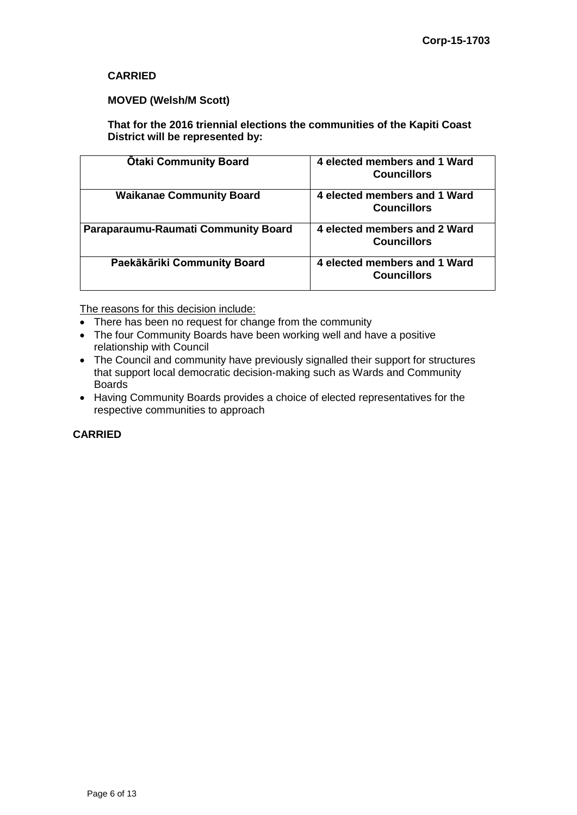### **CARRIED**

#### **MOVED (Welsh/M Scott)**

**That for the 2016 triennial elections the communities of the Kapiti Coast District will be represented by:**

| <b>Otaki Community Board</b>        | 4 elected members and 1 Ward<br><b>Councillors</b> |
|-------------------------------------|----------------------------------------------------|
| <b>Waikanae Community Board</b>     | 4 elected members and 1 Ward<br><b>Councillors</b> |
| Paraparaumu-Raumati Community Board | 4 elected members and 2 Ward<br><b>Councillors</b> |
| Paekākāriki Community Board         | 4 elected members and 1 Ward<br><b>Councillors</b> |

The reasons for this decision include:

- There has been no request for change from the community
- The four Community Boards have been working well and have a positive relationship with Council
- The Council and community have previously signalled their support for structures that support local democratic decision-making such as Wards and Community Boards
- Having Community Boards provides a choice of elected representatives for the respective communities to approach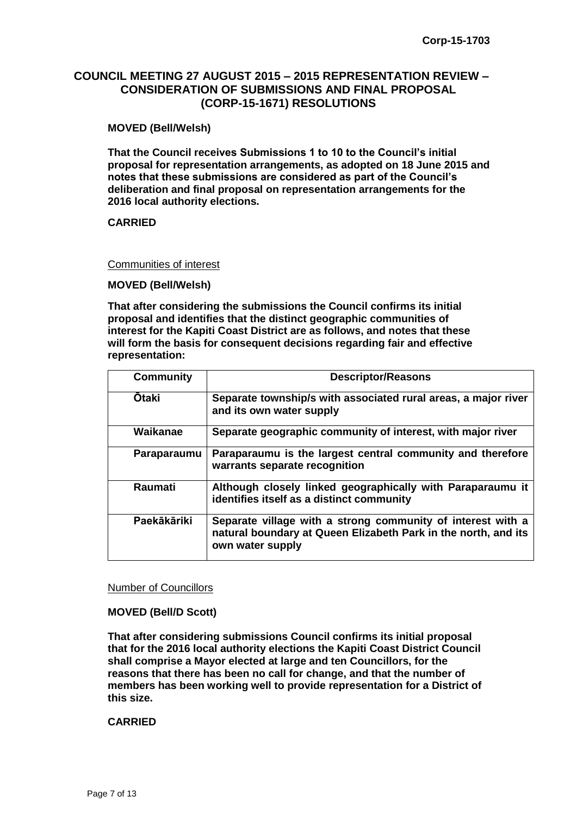## **COUNCIL MEETING 27 AUGUST 2015 – 2015 REPRESENTATION REVIEW – CONSIDERATION OF SUBMISSIONS AND FINAL PROPOSAL (CORP-15-1671) RESOLUTIONS**

#### **MOVED (Bell/Welsh)**

**That the Council receives Submissions 1 to 10 to the Council's initial proposal for representation arrangements, as adopted on 18 June 2015 and notes that these submissions are considered as part of the Council's deliberation and final proposal on representation arrangements for the 2016 local authority elections.**

#### **CARRIED**

#### Communities of interest

**MOVED (Bell/Welsh)**

**That after considering the submissions the Council confirms its initial proposal and identifies that the distinct geographic communities of interest for the Kapiti Coast District are as follows, and notes that these will form the basis for consequent decisions regarding fair and effective representation:**

| <b>Community</b> | <b>Descriptor/Reasons</b>                                                                                                                         |
|------------------|---------------------------------------------------------------------------------------------------------------------------------------------------|
| <b>Ōtaki</b>     | Separate township/s with associated rural areas, a major river<br>and its own water supply                                                        |
| Waikanae         | Separate geographic community of interest, with major river                                                                                       |
| Paraparaumu      | Paraparaumu is the largest central community and therefore<br>warrants separate recognition                                                       |
| Raumati          | Although closely linked geographically with Paraparaumu it<br>identifies itself as a distinct community                                           |
| Paekākāriki      | Separate village with a strong community of interest with a<br>natural boundary at Queen Elizabeth Park in the north, and its<br>own water supply |

#### Number of Councillors

#### **MOVED (Bell/D Scott)**

**That after considering submissions Council confirms its initial proposal that for the 2016 local authority elections the Kapiti Coast District Council shall comprise a Mayor elected at large and ten Councillors, for the reasons that there has been no call for change, and that the number of members has been working well to provide representation for a District of this size.**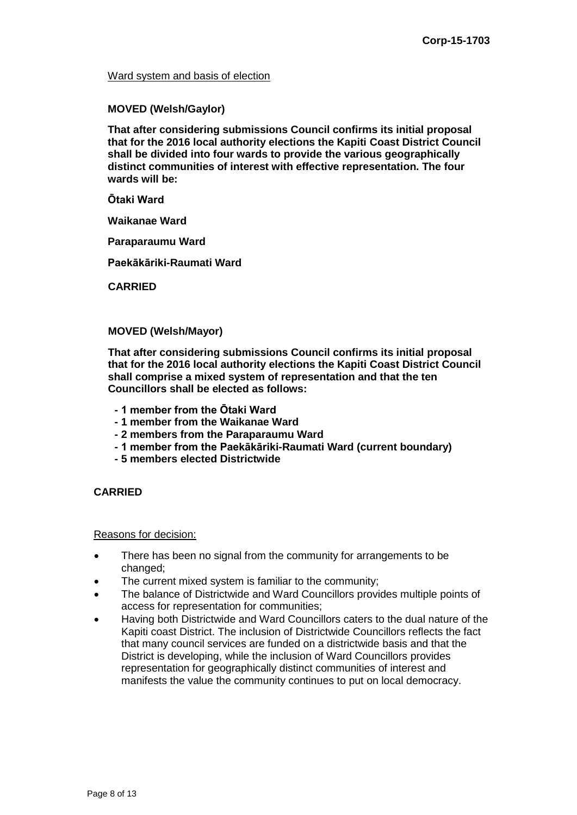#### Ward system and basis of election

#### **MOVED (Welsh/Gaylor)**

**That after considering submissions Council confirms its initial proposal that for the 2016 local authority elections the Kapiti Coast District Council shall be divided into four wards to provide the various geographically distinct communities of interest with effective representation. The four wards will be:**

**Ōtaki Ward**

**Waikanae Ward**

**Paraparaumu Ward**

**Paekākāriki-Raumati Ward**

**CARRIED**

#### **MOVED (Welsh/Mayor)**

**That after considering submissions Council confirms its initial proposal that for the 2016 local authority elections the Kapiti Coast District Council shall comprise a mixed system of representation and that the ten Councillors shall be elected as follows:**

- **- 1 member from the Ōtaki Ward**
- **- 1 member from the Waikanae Ward**
- **- 2 members from the Paraparaumu Ward**
- **- 1 member from the Paekākāriki-Raumati Ward (current boundary)**
- **- 5 members elected Districtwide**

#### **CARRIED**

#### Reasons for decision:

- There has been no signal from the community for arrangements to be changed;
- The current mixed system is familiar to the community;
- The balance of Districtwide and Ward Councillors provides multiple points of access for representation for communities;
- Having both Districtwide and Ward Councillors caters to the dual nature of the Kapiti coast District. The inclusion of Districtwide Councillors reflects the fact that many council services are funded on a districtwide basis and that the District is developing, while the inclusion of Ward Councillors provides representation for geographically distinct communities of interest and manifests the value the community continues to put on local democracy.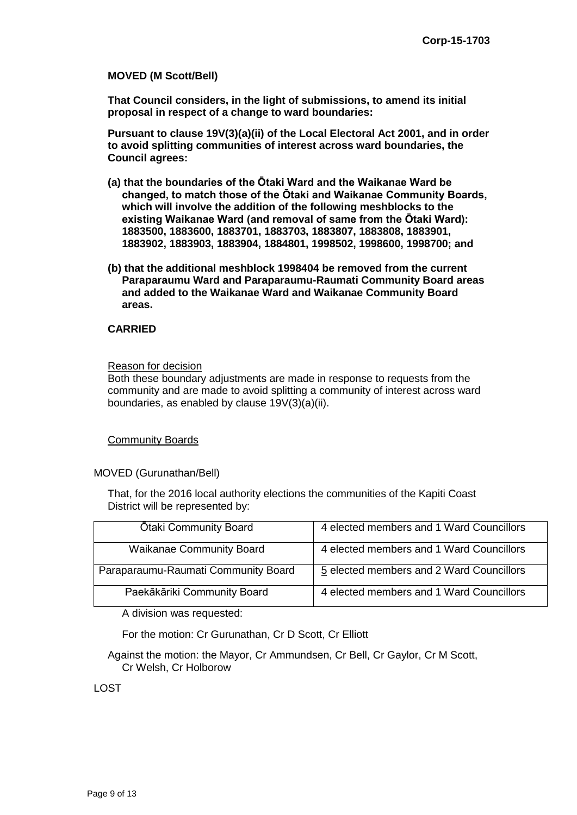#### **MOVED (M Scott/Bell)**

**That Council considers, in the light of submissions, to amend its initial proposal in respect of a change to ward boundaries:**

**Pursuant to clause 19V(3)(a)(ii) of the Local Electoral Act 2001, and in order to avoid splitting communities of interest across ward boundaries, the Council agrees:**

- **(a) that the boundaries of the Ōtaki Ward and the Waikanae Ward be changed, to match those of the Ōtaki and Waikanae Community Boards, which will involve the addition of the following meshblocks to the existing Waikanae Ward (and removal of same from the Ōtaki Ward): 1883500, 1883600, 1883701, 1883703, 1883807, 1883808, 1883901, 1883902, 1883903, 1883904, 1884801, 1998502, 1998600, 1998700; and**
- **(b) that the additional meshblock 1998404 be removed from the current Paraparaumu Ward and Paraparaumu-Raumati Community Board areas and added to the Waikanae Ward and Waikanae Community Board areas.**

#### **CARRIED**

#### Reason for decision

Both these boundary adjustments are made in response to requests from the community and are made to avoid splitting a community of interest across ward boundaries, as enabled by clause 19V(3)(a)(ii).

#### Community Boards

MOVED (Gurunathan/Bell)

That, for the 2016 local authority elections the communities of the Kapiti Coast District will be represented by:

| <b>Otaki Community Board</b>        | 4 elected members and 1 Ward Councillors |
|-------------------------------------|------------------------------------------|
| <b>Waikanae Community Board</b>     | 4 elected members and 1 Ward Councillors |
| Paraparaumu-Raumati Community Board | 5 elected members and 2 Ward Councillors |
| Paekākāriki Community Board         | 4 elected members and 1 Ward Councillors |

A division was requested:

For the motion: Cr Gurunathan, Cr D Scott, Cr Elliott

Against the motion: the Mayor, Cr Ammundsen, Cr Bell, Cr Gaylor, Cr M Scott, Cr Welsh, Cr Holborow

LOST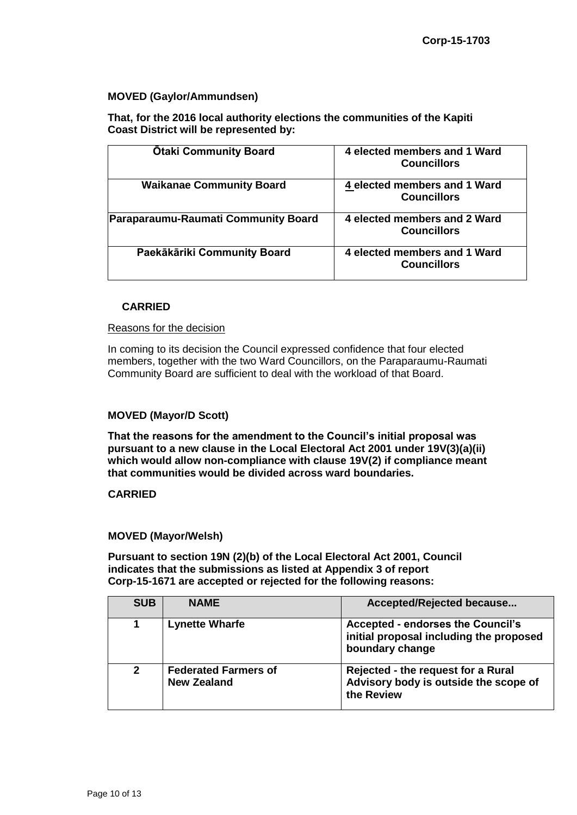#### **MOVED (Gaylor/Ammundsen)**

**That, for the 2016 local authority elections the communities of the Kapiti Coast District will be represented by:**

| <b>Otaki Community Board</b>        | 4 elected members and 1 Ward<br><b>Councillors</b> |
|-------------------------------------|----------------------------------------------------|
| <b>Waikanae Community Board</b>     | 4 elected members and 1 Ward<br><b>Councillors</b> |
| Paraparaumu-Raumati Community Board | 4 elected members and 2 Ward<br><b>Councillors</b> |
| Paekākāriki Community Board         | 4 elected members and 1 Ward<br><b>Councillors</b> |

#### **CARRIED**

#### Reasons for the decision

In coming to its decision the Council expressed confidence that four elected members, together with the two Ward Councillors, on the Paraparaumu-Raumati Community Board are sufficient to deal with the workload of that Board.

#### **MOVED (Mayor/D Scott)**

**That the reasons for the amendment to the Council's initial proposal was pursuant to a new clause in the Local Electoral Act 2001 under 19V(3)(a)(ii) which would allow non-compliance with clause 19V(2) if compliance meant that communities would be divided across ward boundaries.** 

#### **CARRIED**

#### **MOVED (Mayor/Welsh)**

**Pursuant to section 19N (2)(b) of the Local Electoral Act 2001, Council indicates that the submissions as listed at Appendix 3 of report Corp-15-1671 are accepted or rejected for the following reasons:**

| <b>SUB</b>     | <b>NAME</b>                                       | Accepted/Rejected because                                                                              |
|----------------|---------------------------------------------------|--------------------------------------------------------------------------------------------------------|
| 1              | <b>Lynette Wharfe</b>                             | <b>Accepted - endorses the Council's</b><br>initial proposal including the proposed<br>boundary change |
| $\overline{2}$ | <b>Federated Farmers of</b><br><b>New Zealand</b> | Rejected - the request for a Rural<br>Advisory body is outside the scope of<br>the Review              |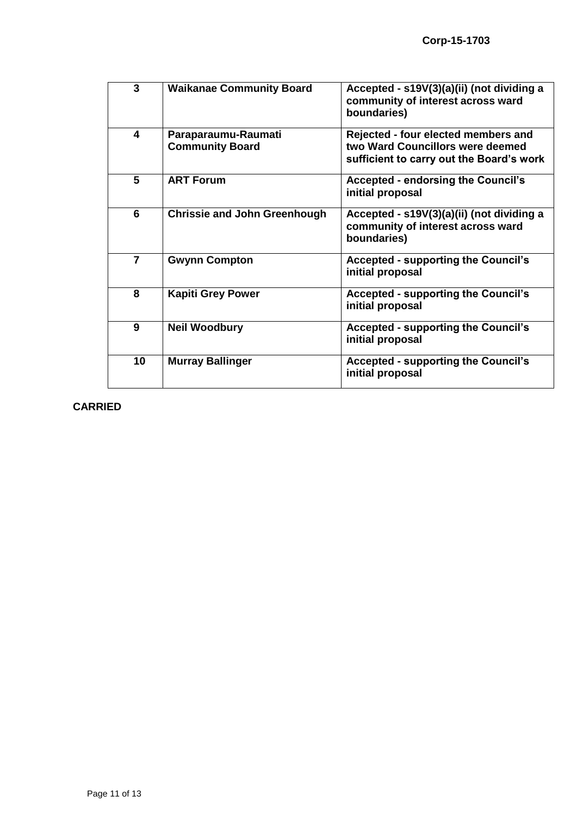| 3              | <b>Waikanae Community Board</b>               | Accepted - s19V(3)(a)(ii) (not dividing a<br>community of interest across ward<br>boundaries)                       |
|----------------|-----------------------------------------------|---------------------------------------------------------------------------------------------------------------------|
| 4              | Paraparaumu-Raumati<br><b>Community Board</b> | Rejected - four elected members and<br>two Ward Councillors were deemed<br>sufficient to carry out the Board's work |
| 5              | <b>ART Forum</b>                              | <b>Accepted - endorsing the Council's</b><br>initial proposal                                                       |
| 6              | <b>Chrissie and John Greenhough</b>           | Accepted - s19V(3)(a)(ii) (not dividing a<br>community of interest across ward<br>boundaries)                       |
| $\overline{7}$ | <b>Gwynn Compton</b>                          | <b>Accepted - supporting the Council's</b><br>initial proposal                                                      |
| 8              | <b>Kapiti Grey Power</b>                      | <b>Accepted - supporting the Council's</b><br>initial proposal                                                      |
| 9              | <b>Neil Woodbury</b>                          | <b>Accepted - supporting the Council's</b><br>initial proposal                                                      |
| 10             | <b>Murray Ballinger</b>                       | <b>Accepted - supporting the Council's</b><br>initial proposal                                                      |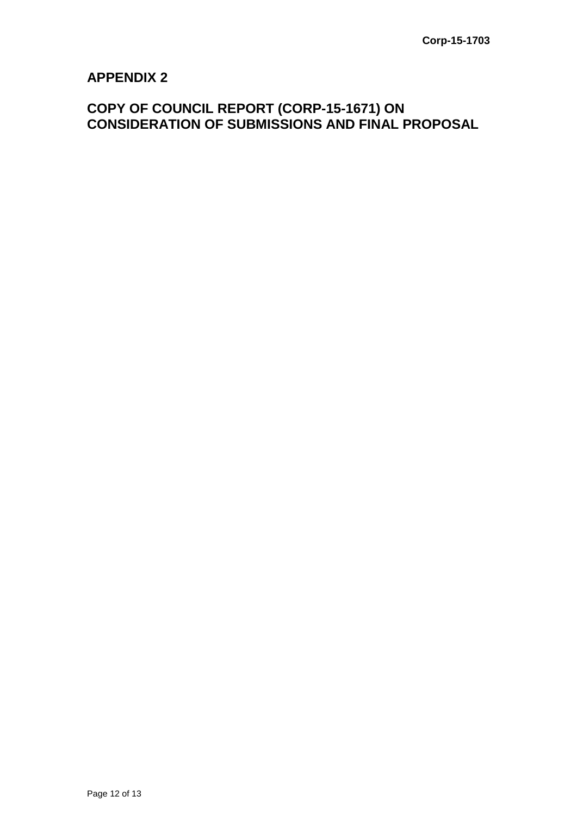# **APPENDIX 2**

# **COPY OF COUNCIL REPORT (CORP-15-1671) ON CONSIDERATION OF SUBMISSIONS AND FINAL PROPOSAL**